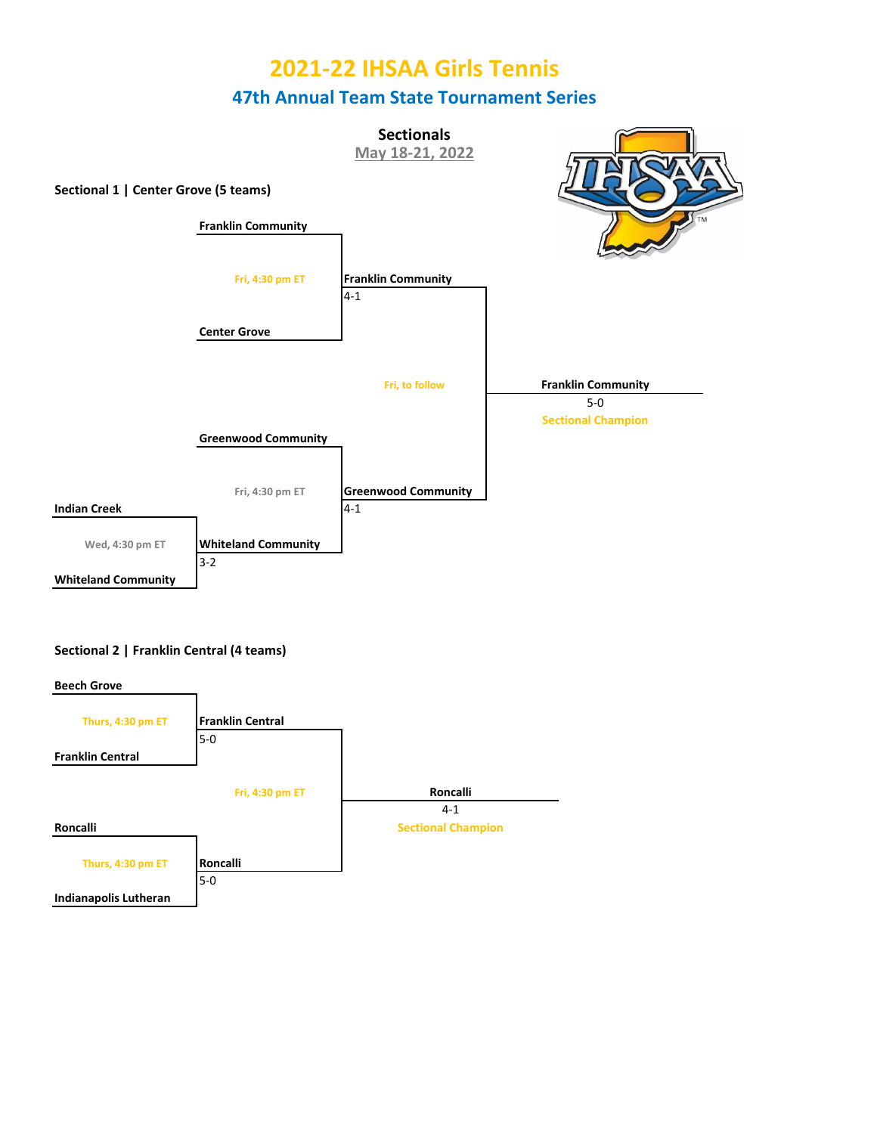

#### **Sectional 2 | Franklin Central (4 teams)**

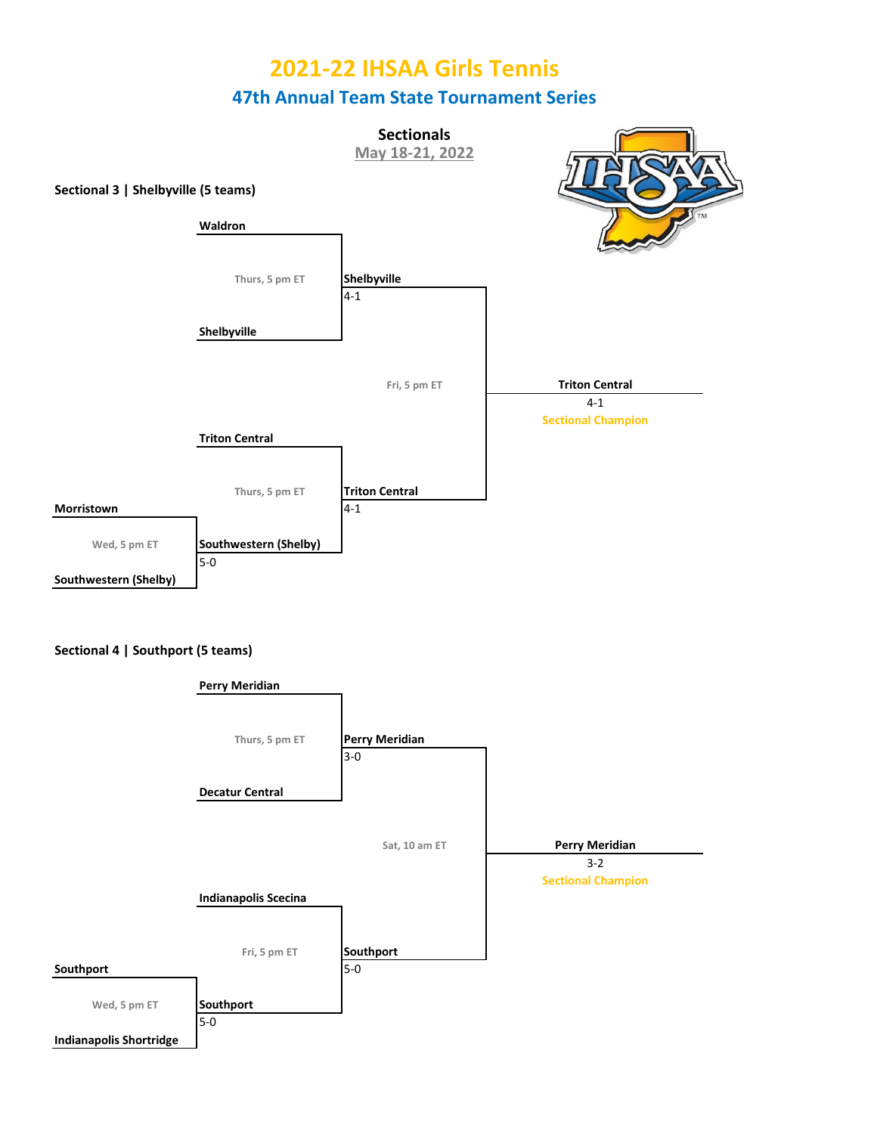

#### **Sectional 4 | Southport (5 teams)**

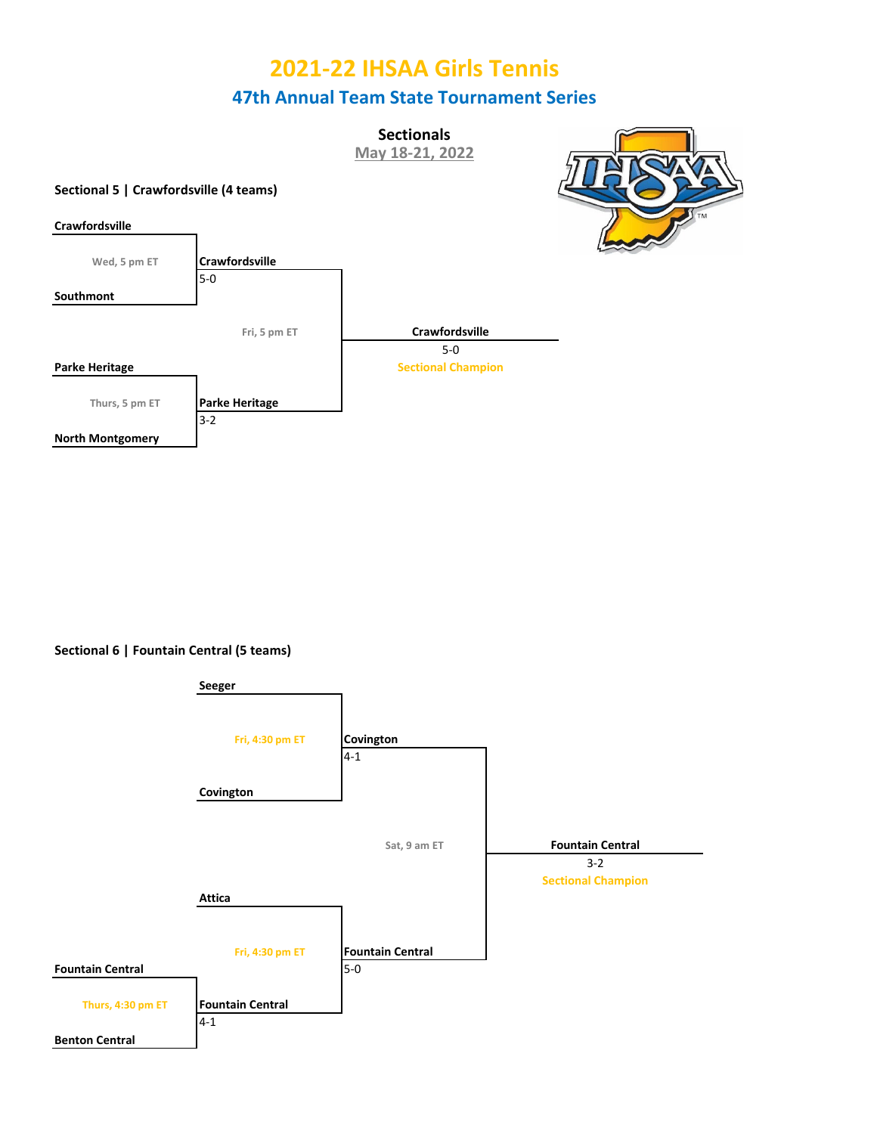**Sectionals May 18-21, 2022**

#### **Sectional 5 | Crawfordsville (4 teams) Southmont** 5-0 **North Montgomery Fri, 5 pm ET Crawfordsville Wed, 5 pm ET Crawfordsville Parke Heritage Thurs, 5 pm ET** 3-2 **Crawfordsville** 5-0 **Sectional Champion Parke Heritage**

**Sectional 6 | Fountain Central (5 teams)**

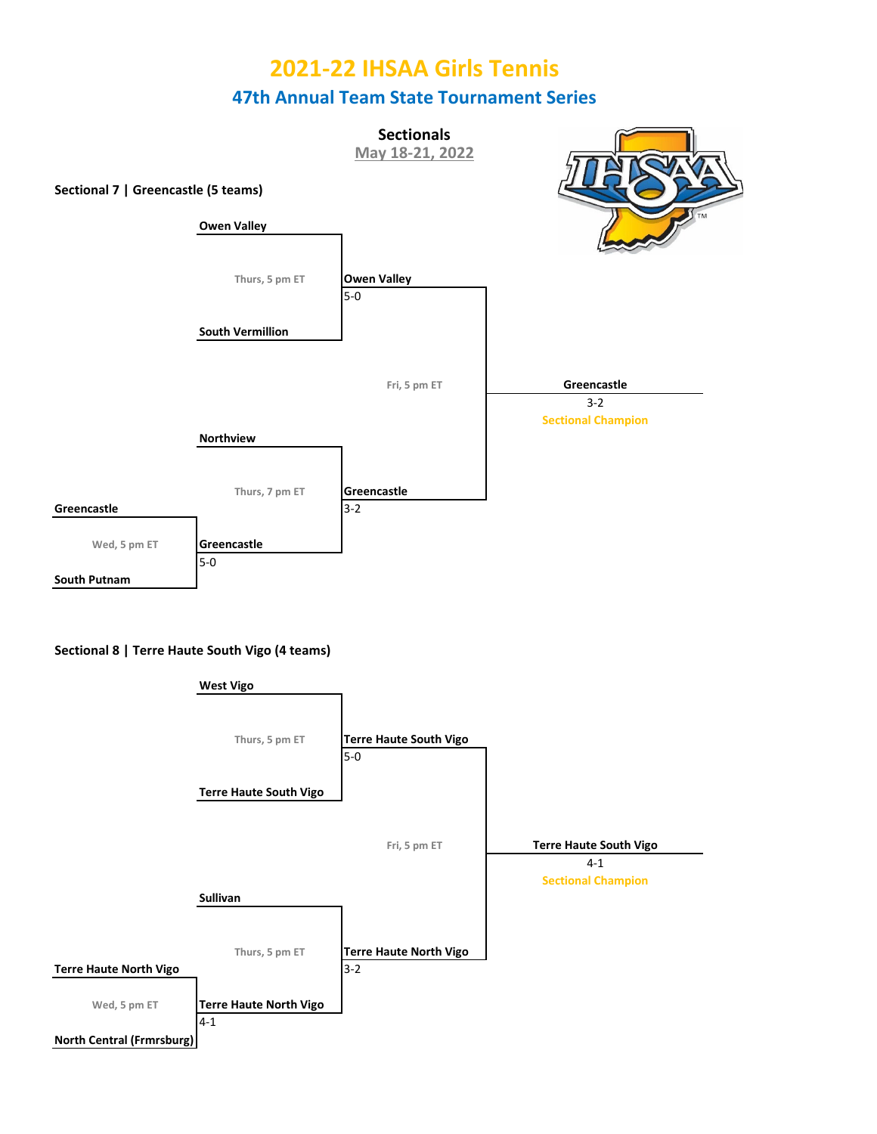

#### **Sectional 8 | Terre Haute South Vigo (4 teams)**

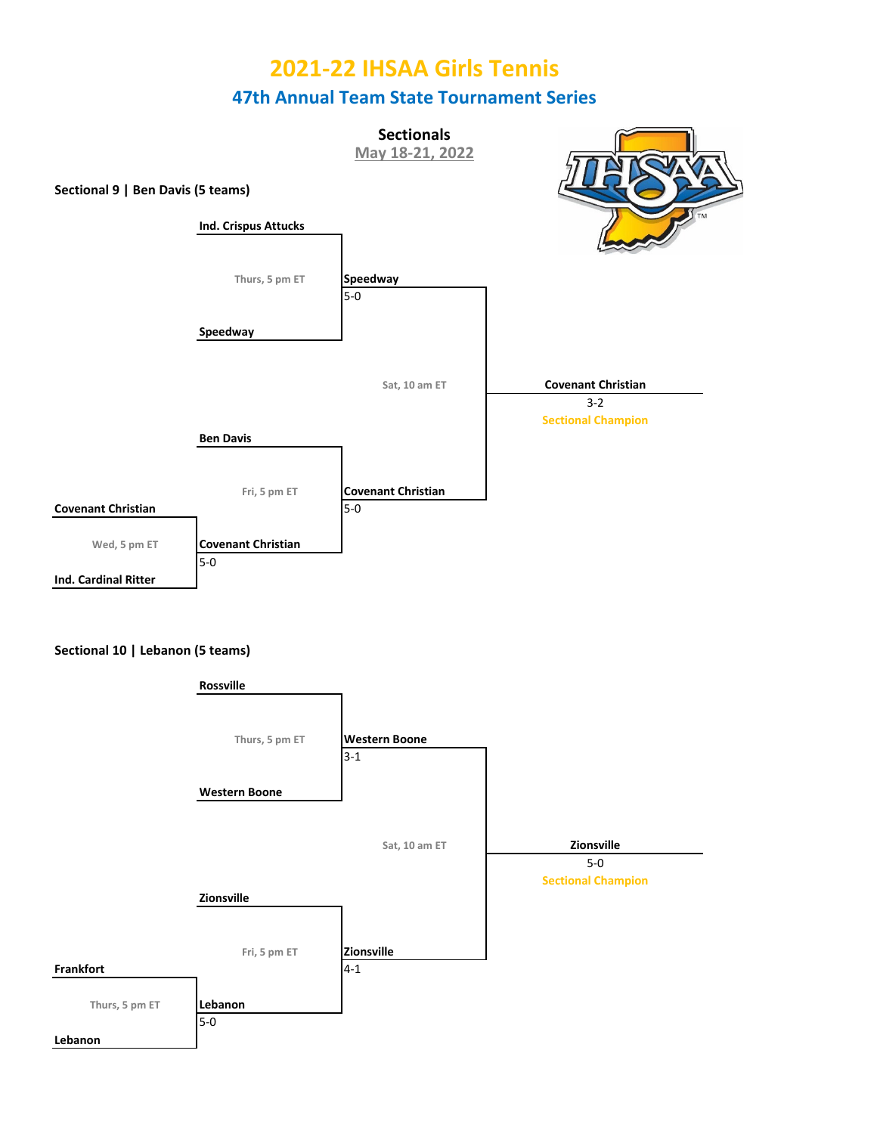

#### **Sectional 10 | Lebanon (5 teams)**

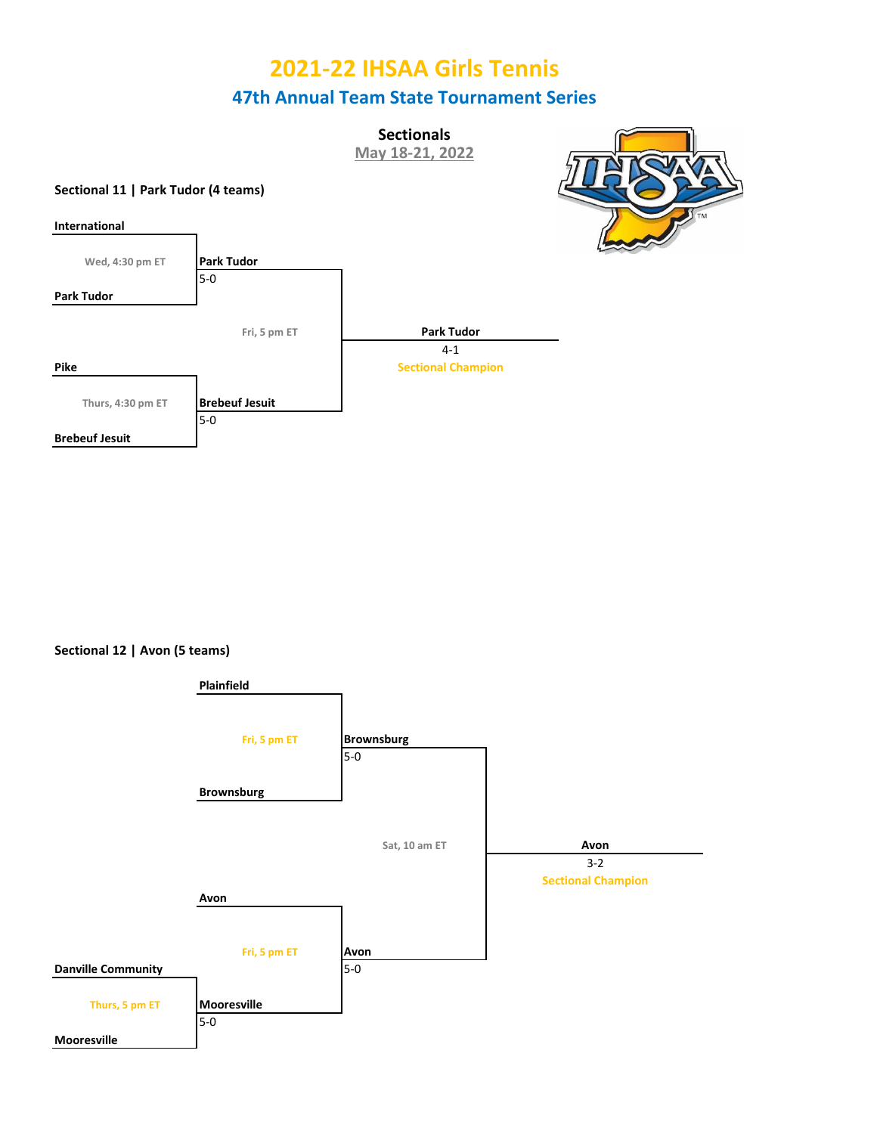**Sectionals May 18-21, 2022**





**Sectional 12 | Avon (5 teams)**

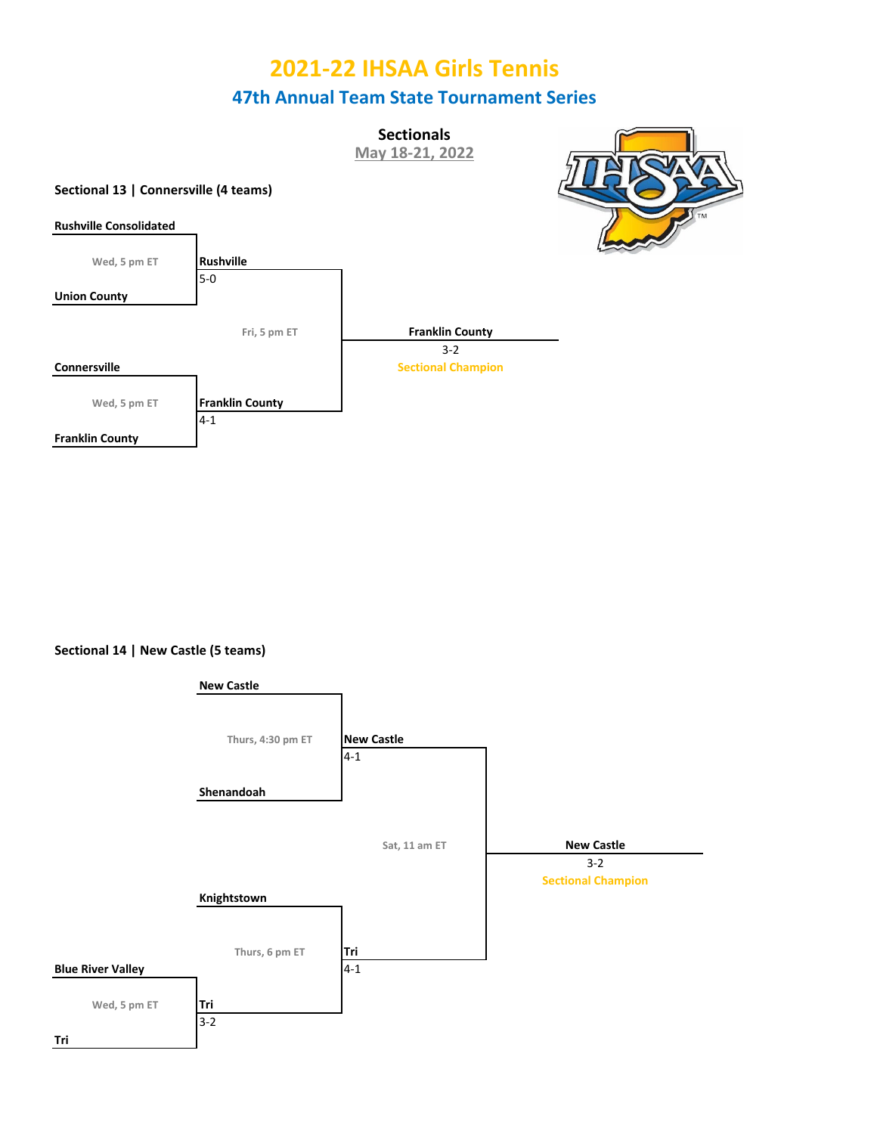**Sectionals May 18-21, 2022**



**Sectional 14 | New Castle (5 teams)**

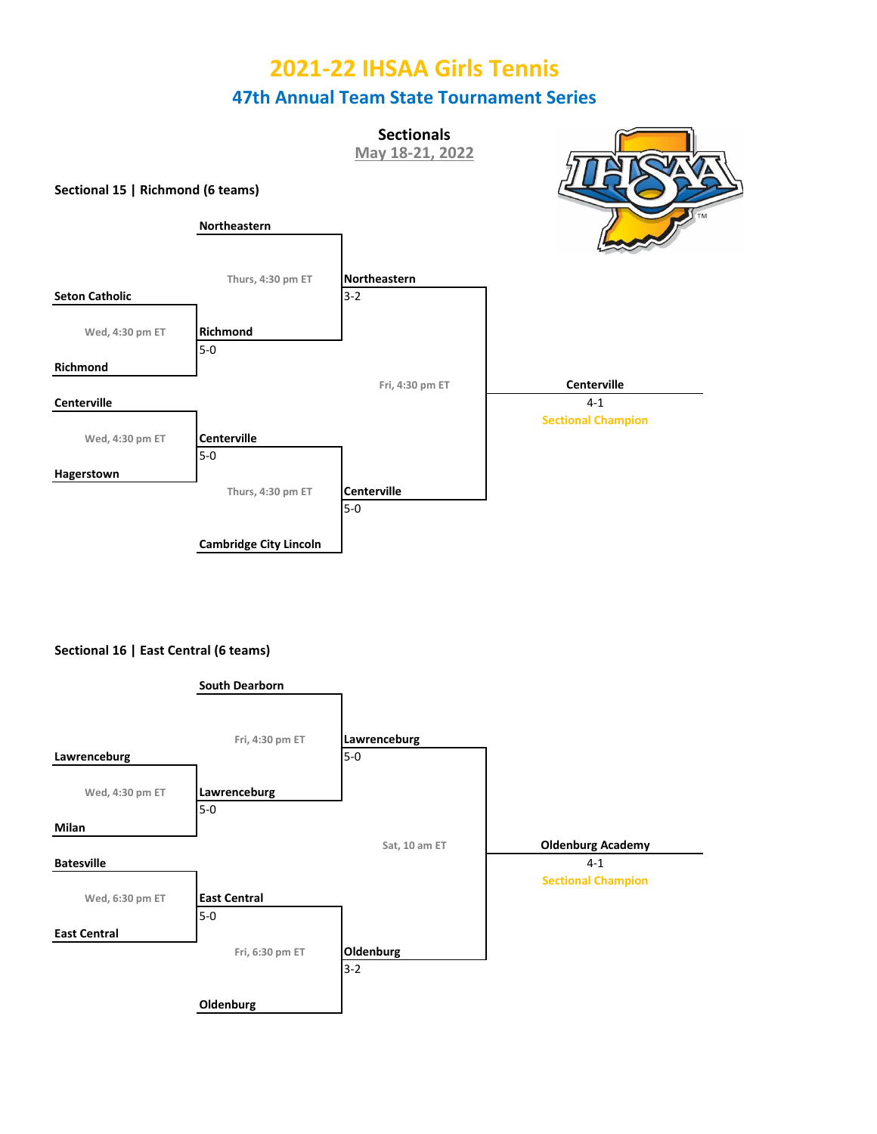

#### **Sectional 16 | East Central (6 teams)**

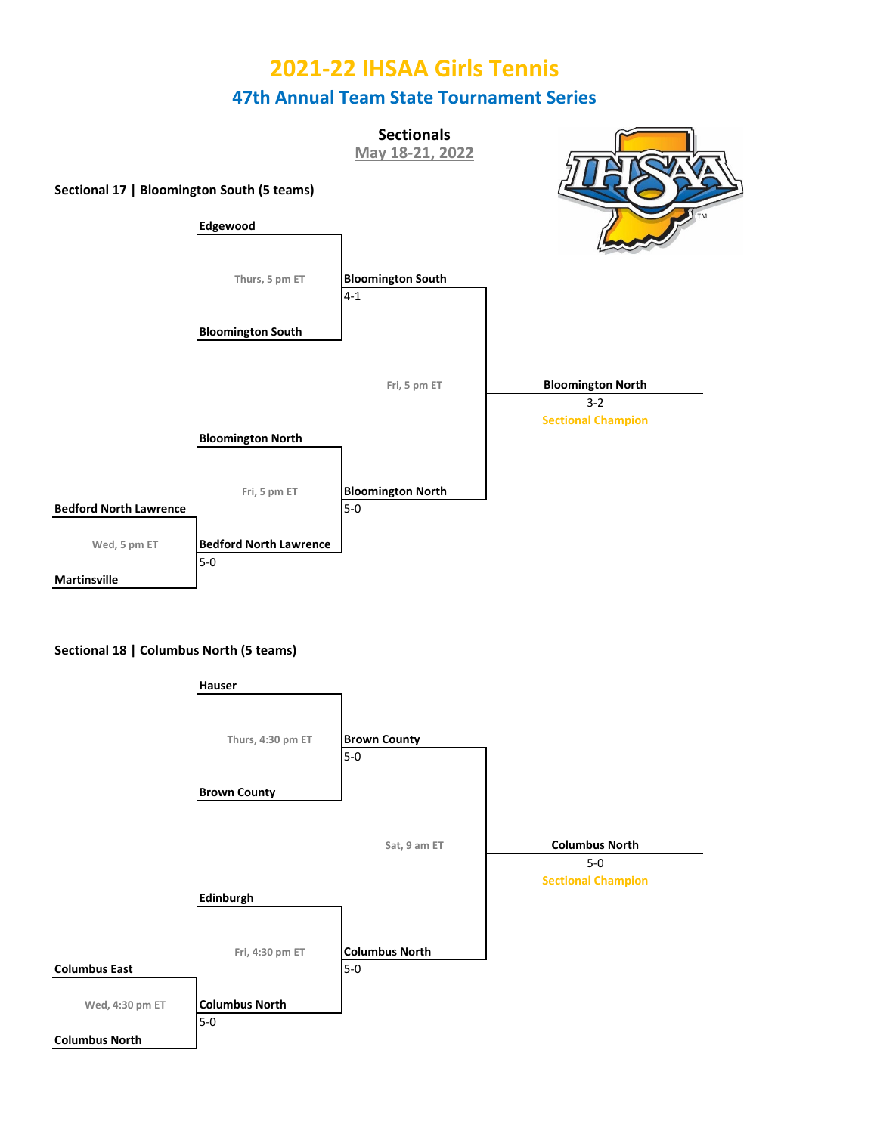

#### **Sectional 18 | Columbus North (5 teams)**

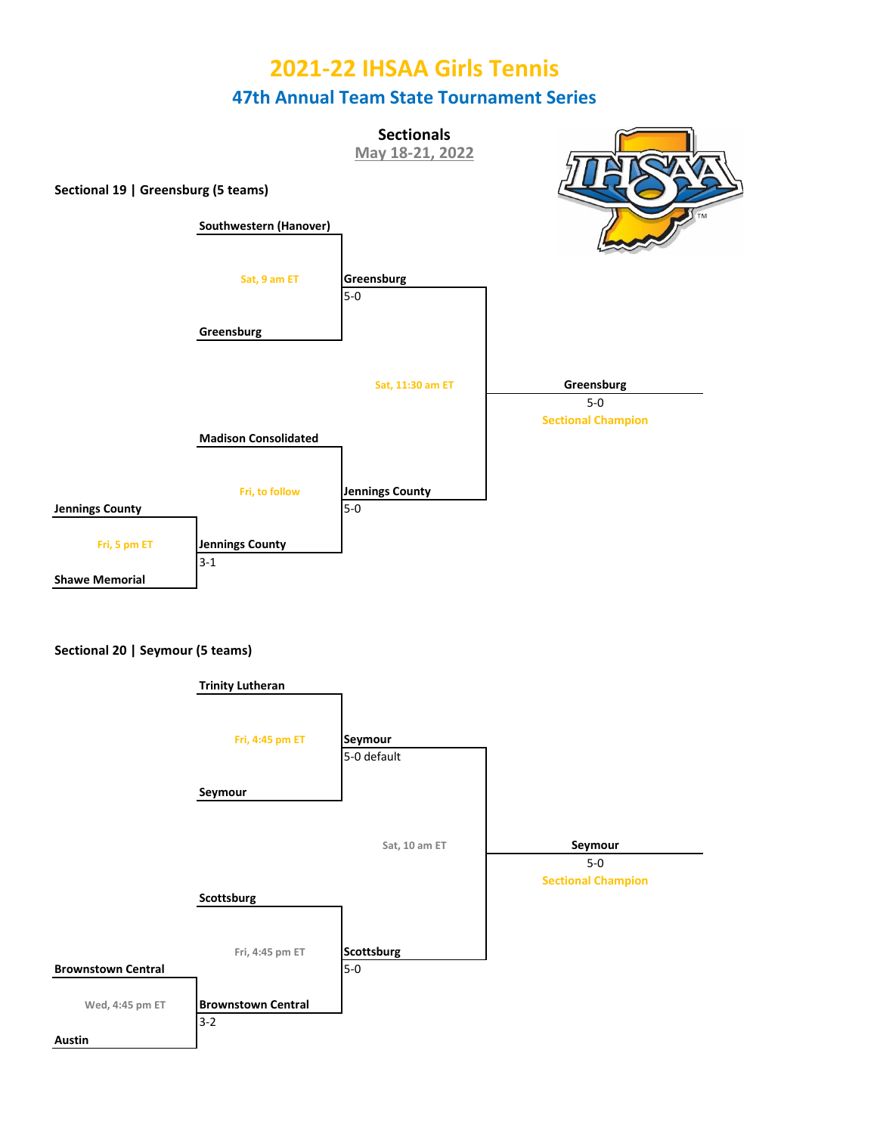

#### **Sectional 20 | Seymour (5 teams)**

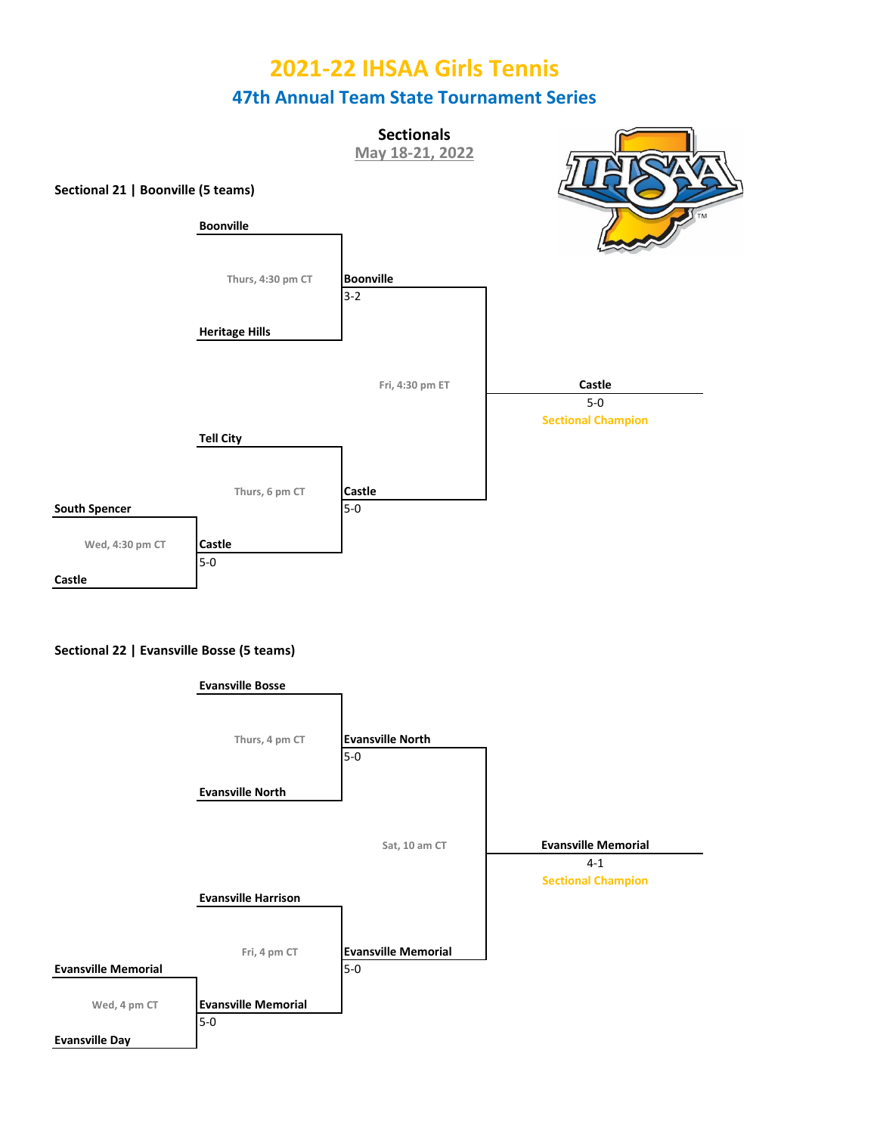

#### **Sectional 22 | Evansville Bosse (5 teams)**

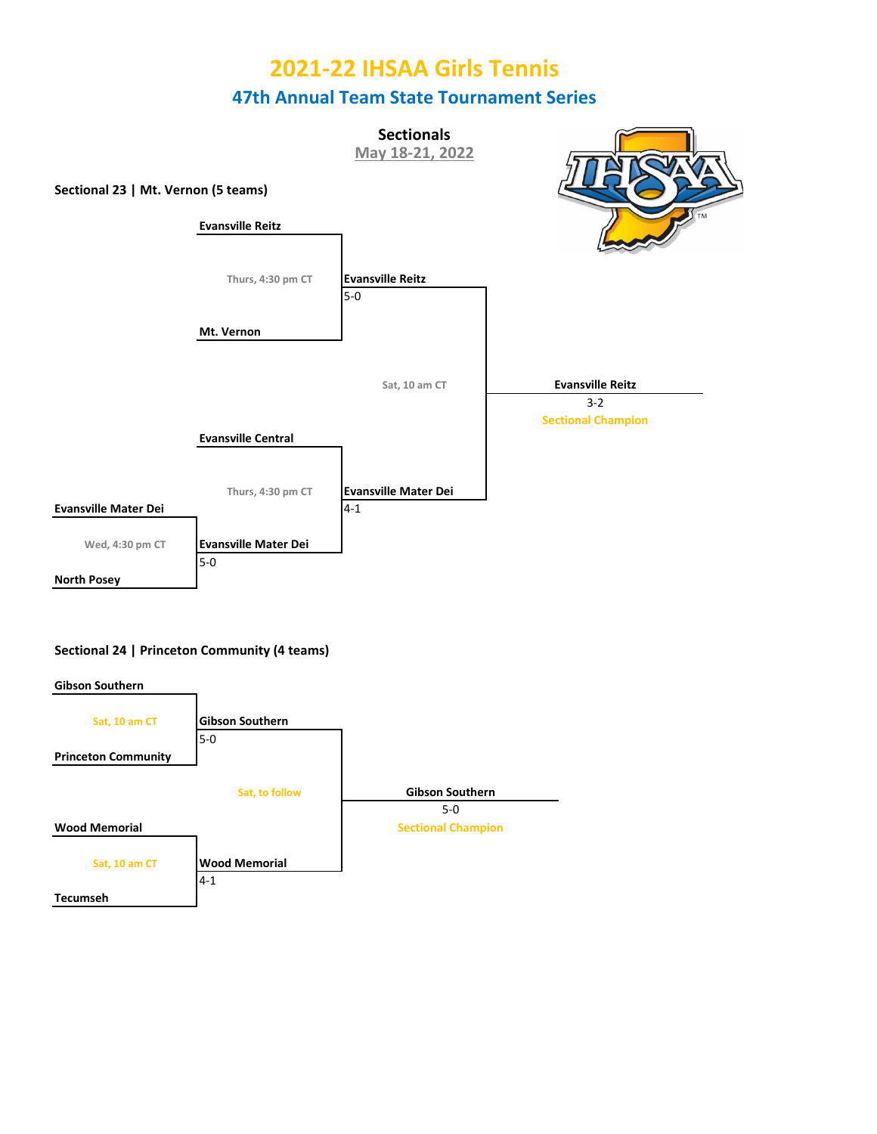

#### **Sectional 24 | Princeton Community (4 teams)**

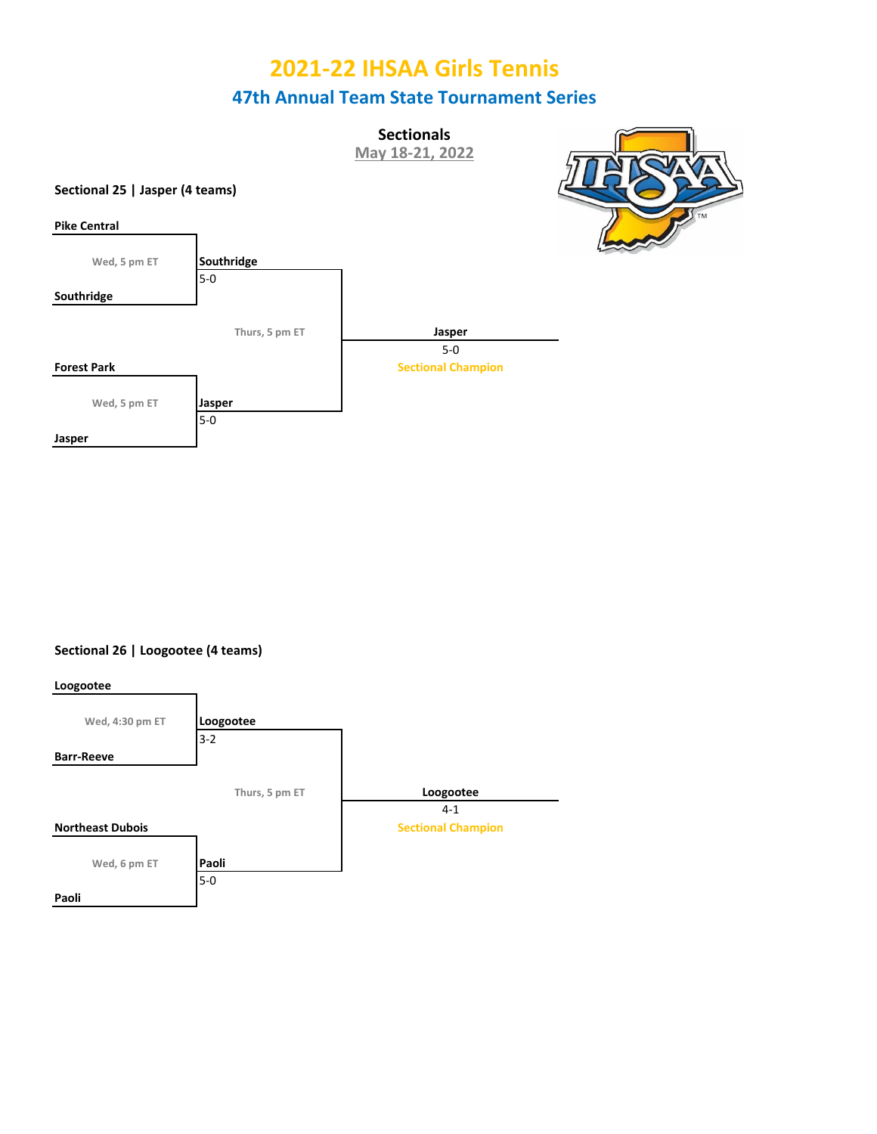**Sectionals May 18-21, 2022**

#### **Sectional 25 | Jasper (4 teams)**



**Sectional 26 | Loogootee (4 teams)**

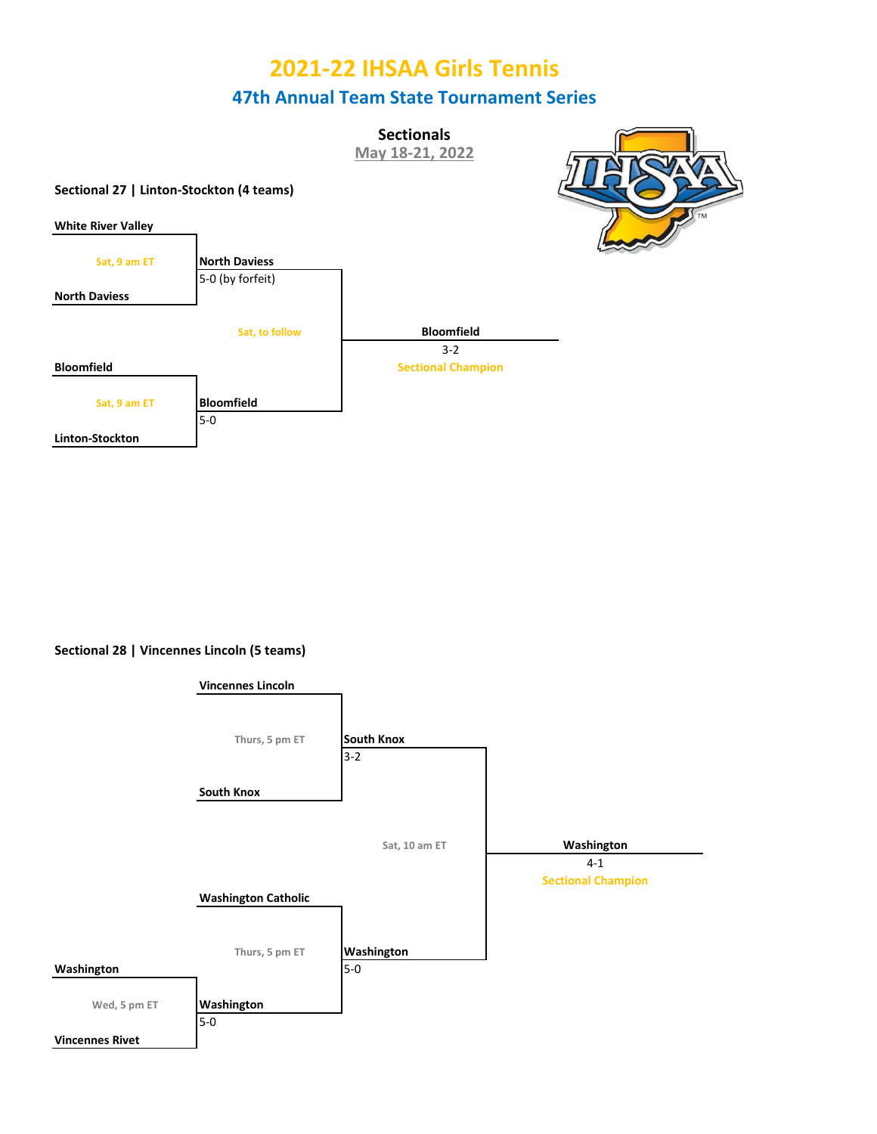**Sectionals May 18-21, 2022**



**Sectional 28 | Vincennes Lincoln (5 teams)**

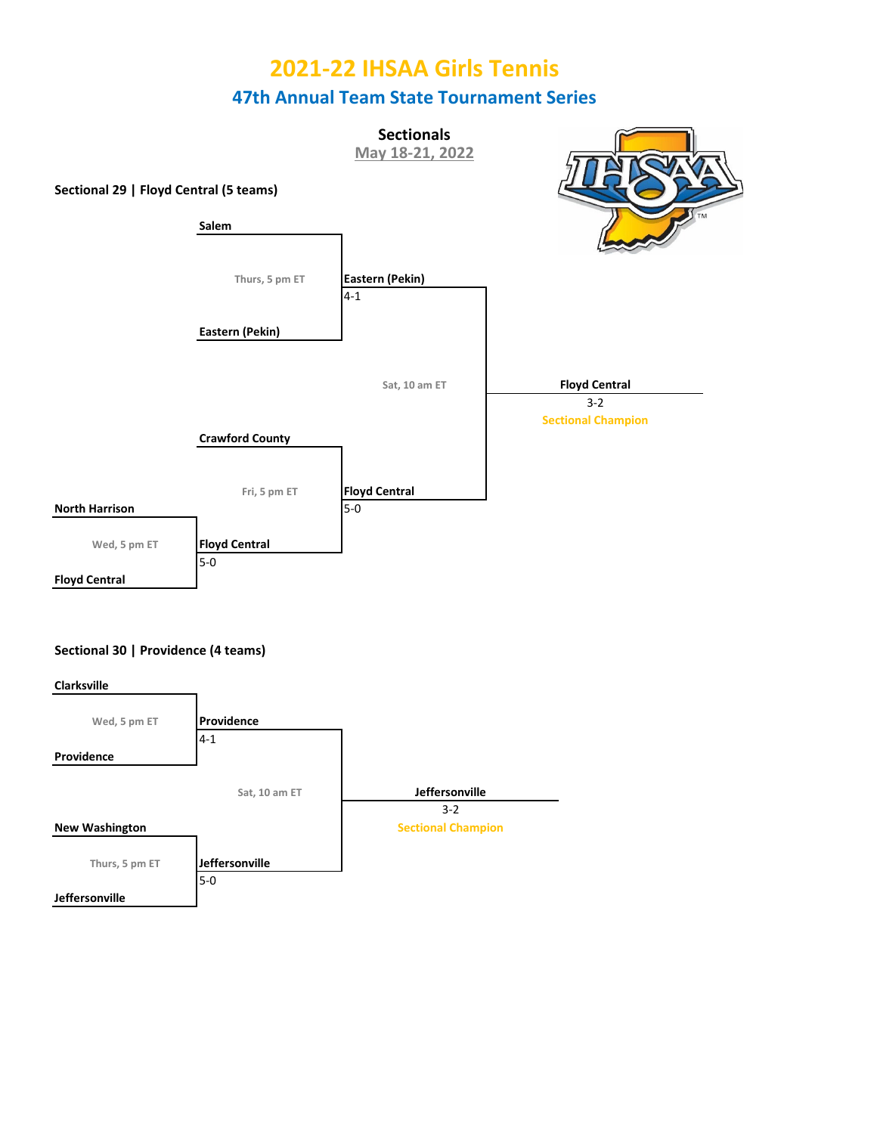

#### **Sectional 30 | Providence (4 teams)**

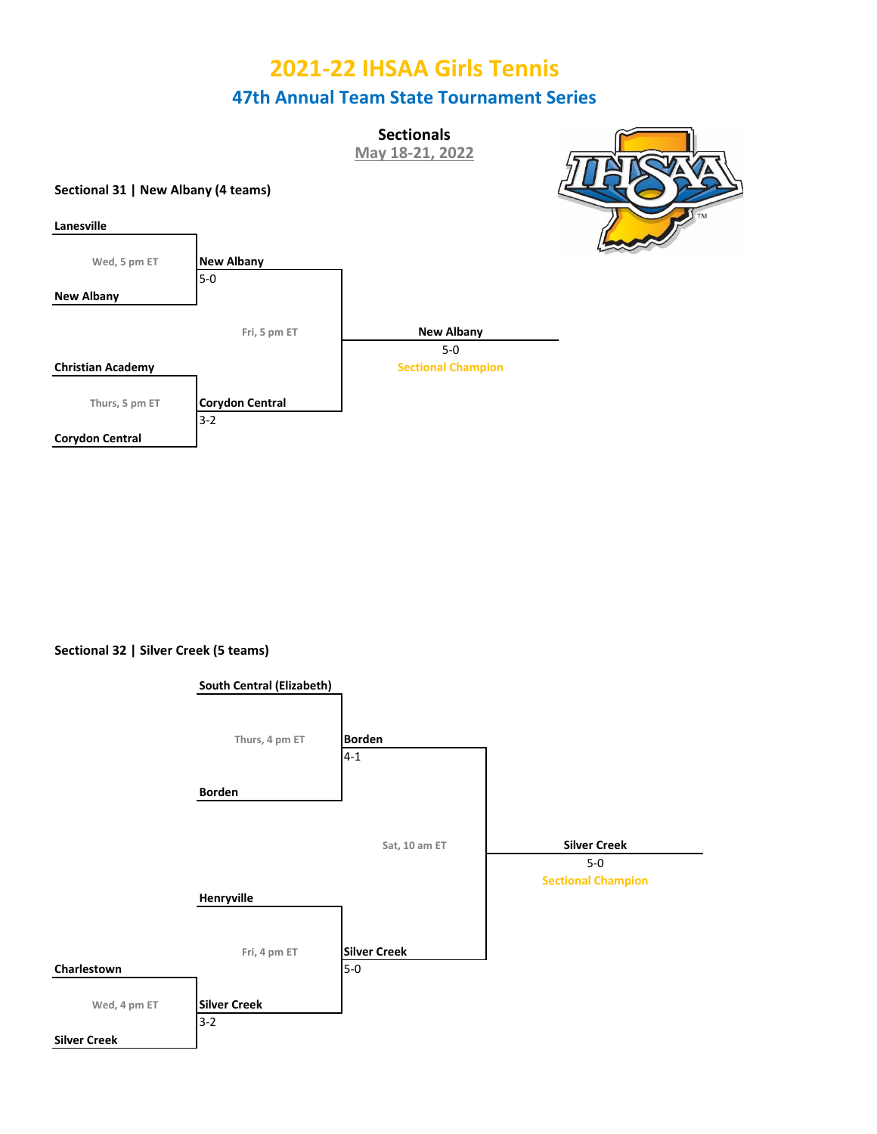



**Sectional 32 | Silver Creek (5 teams)**

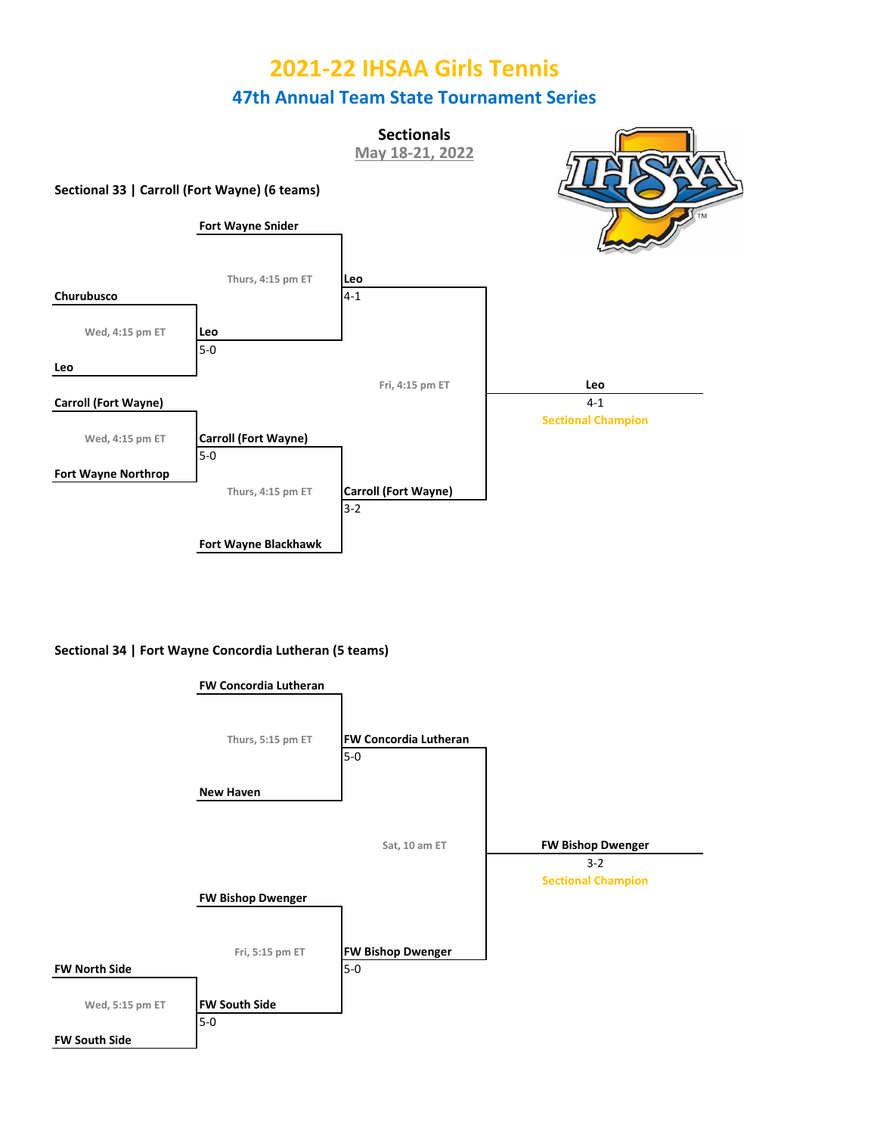

#### **Sectional 34 | Fort Wayne Concordia Lutheran (5 teams)**

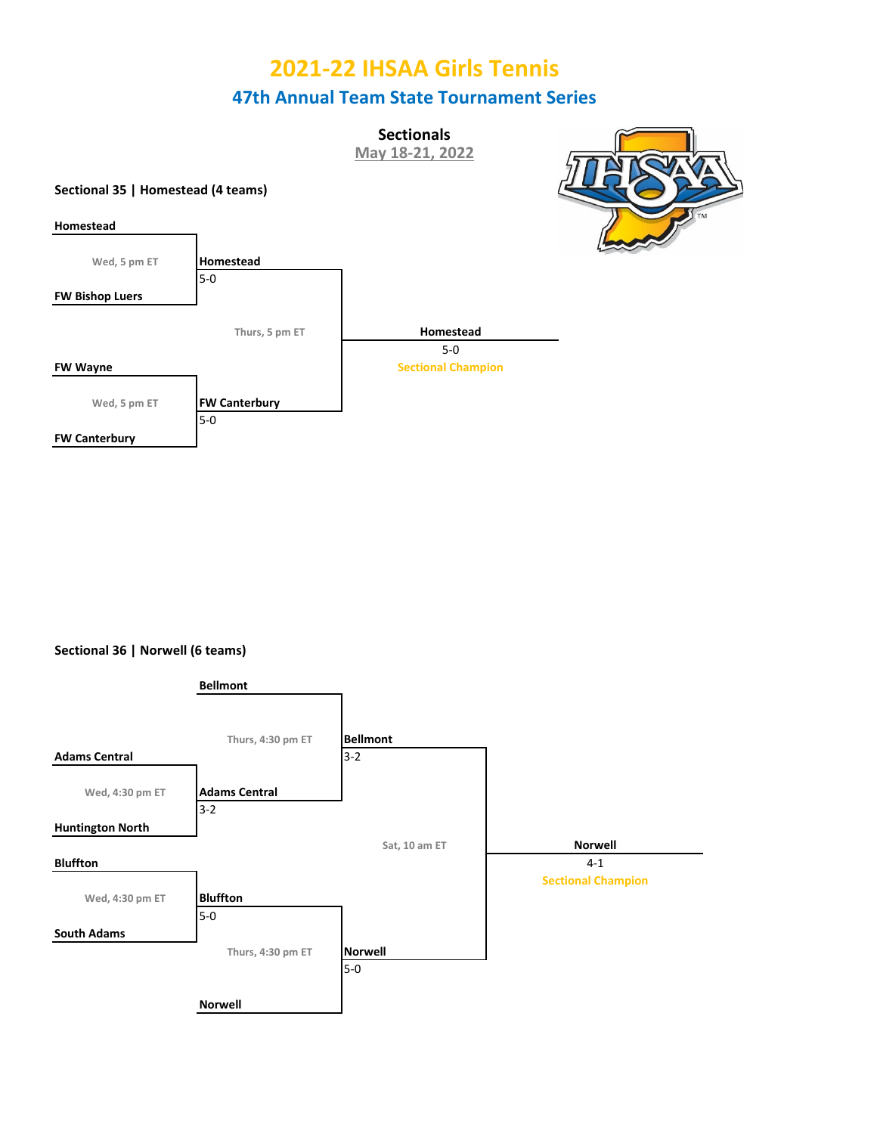**Sectionals May 18-21, 2022**

#### **Sectional 35 | Homestead (4 teams) Homestead Wed, 5 pm ET Homestead** 5-0 **FW Bishop Luers FW Wayne Wed, 5 pm ET Sectional Champion FW Canterbury Homestead** 5-0 **Thurs, 5 pm ET** 5-0 **FW Canterbury**

**Sectional 36 | Norwell (6 teams)**

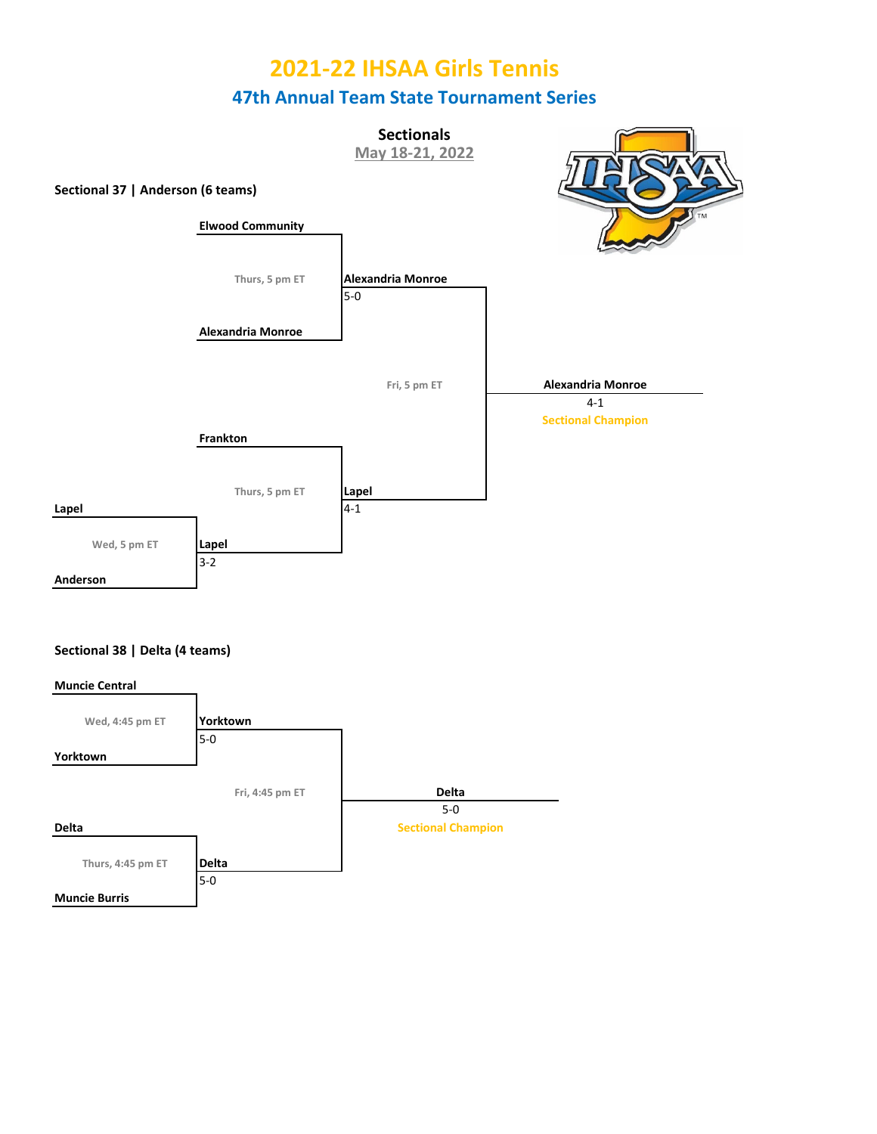

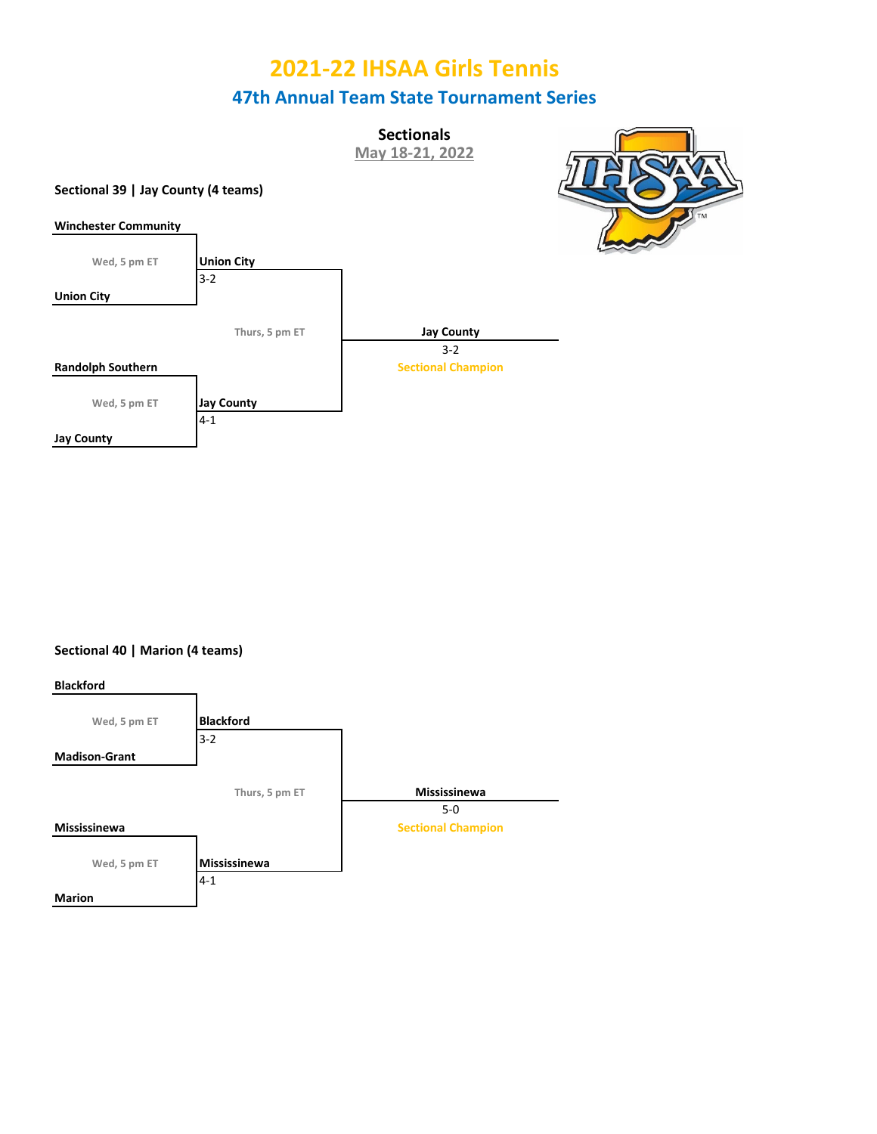**Sectionals May 18-21, 2022**



**Sectional 40 | Marion (4 teams)**

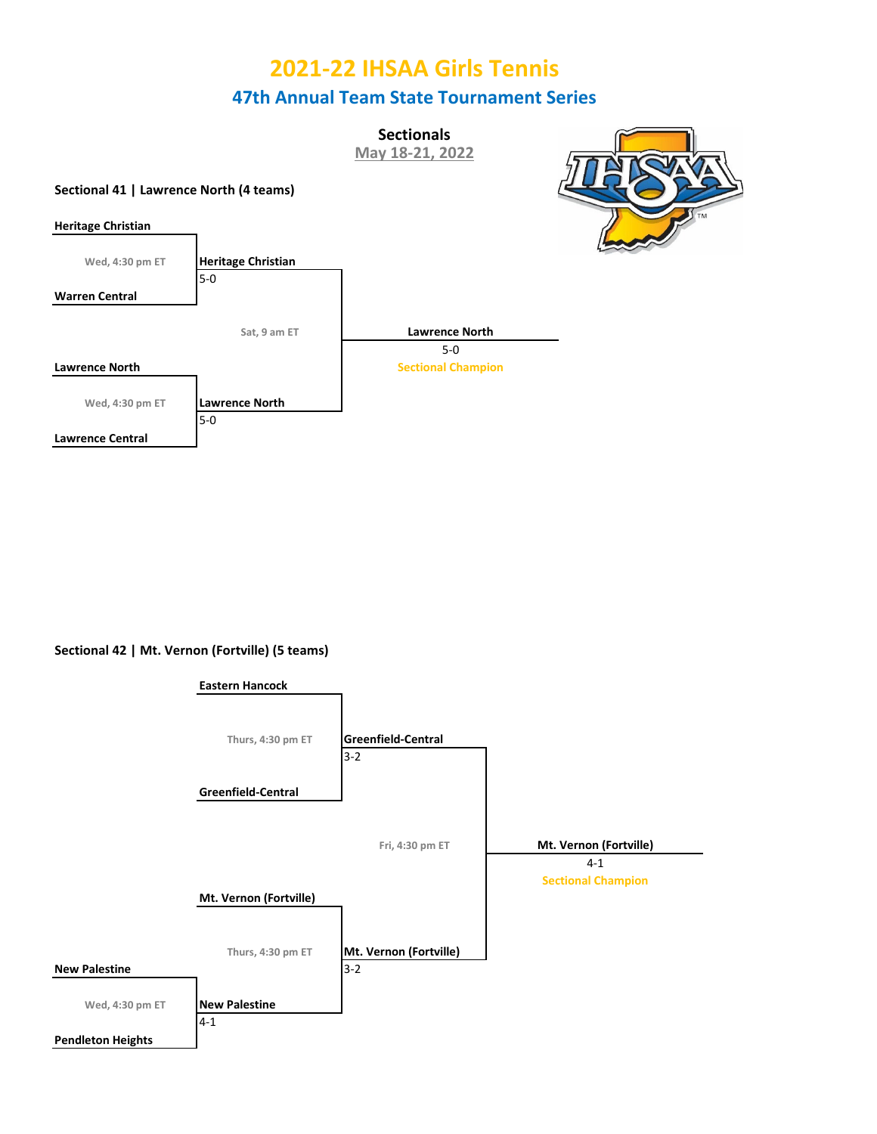**Sectionals May 18-21, 2022**





**Sectional 42 | Mt. Vernon (Fortville) (5 teams)**

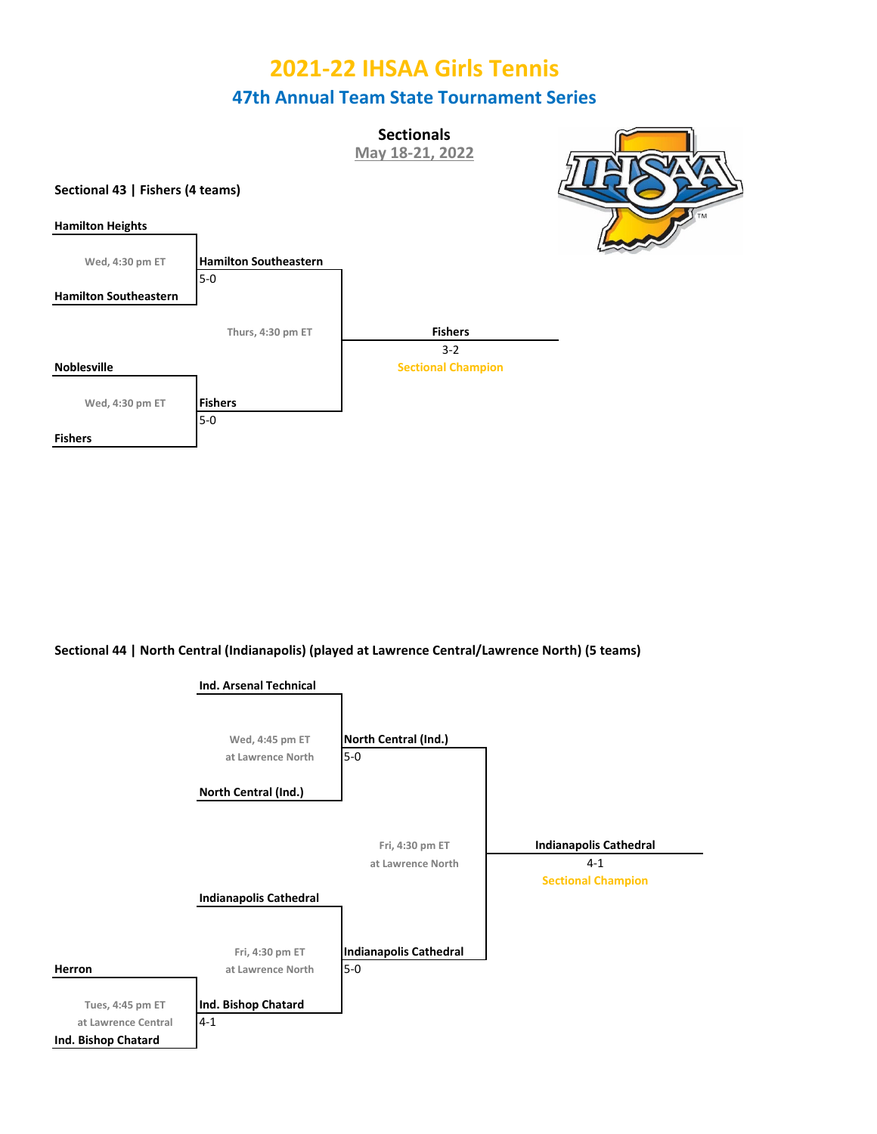**Sectionals May 18-21, 2022**



**Sectional 44 | North Central (Indianapolis) (played at Lawrence Central/Lawrence North) (5 teams)**

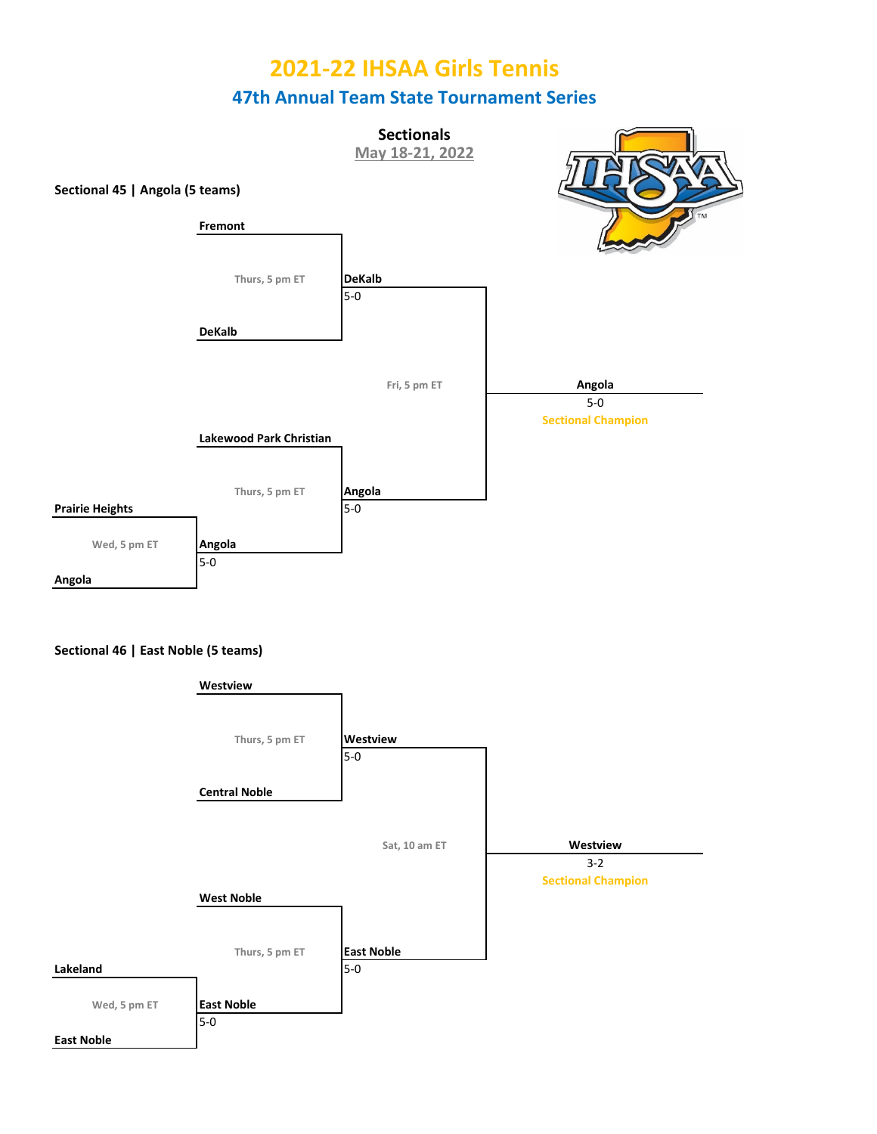

#### **Sectional 46 | East Noble (5 teams)**

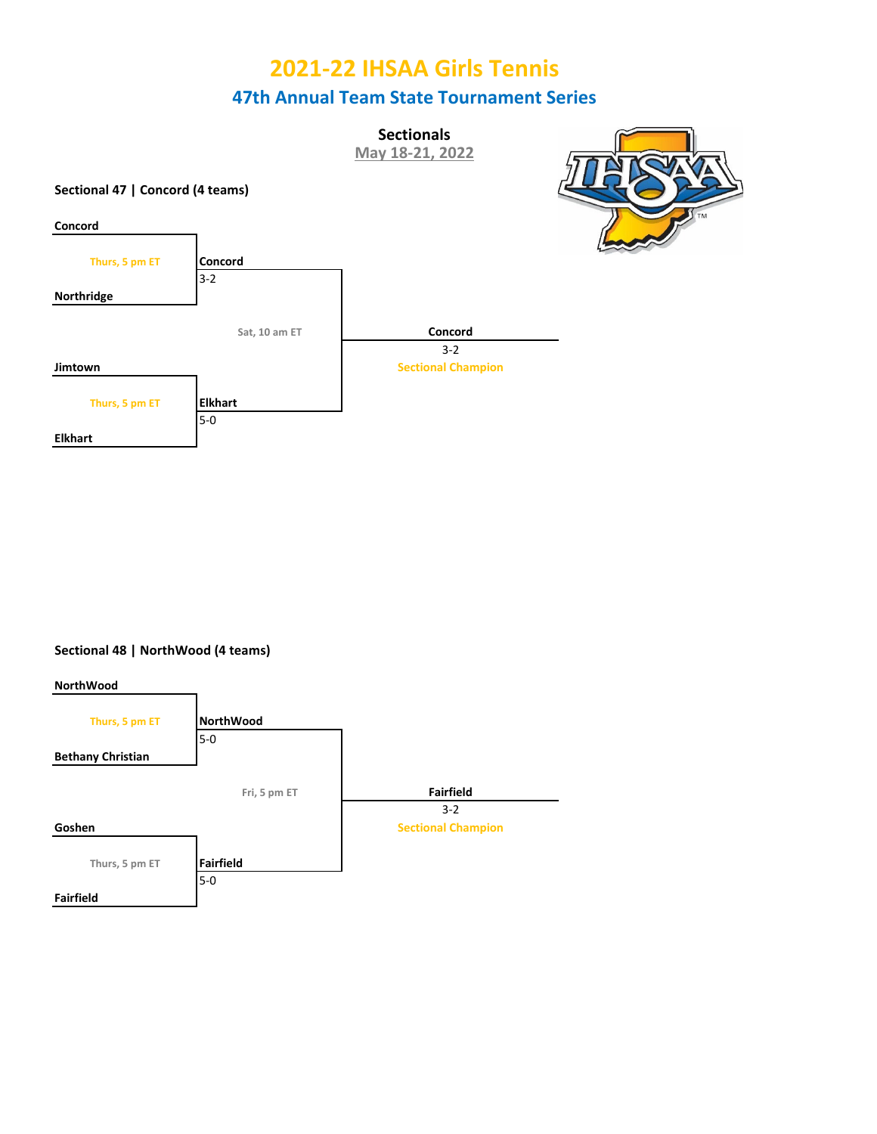**Sectionals May 18-21, 2022**







**Sectional 48 | NorthWood (4 teams)**

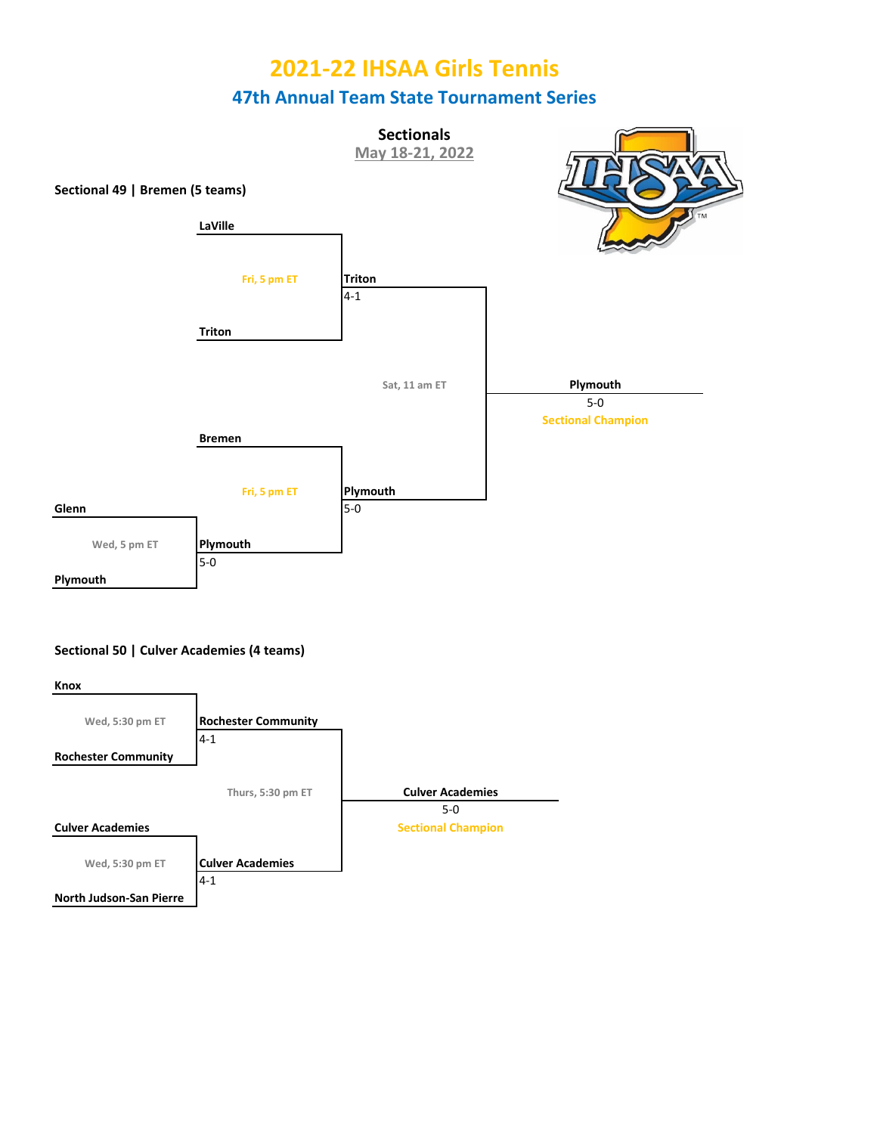

#### **Sectional 50 | Culver Academies (4 teams)**

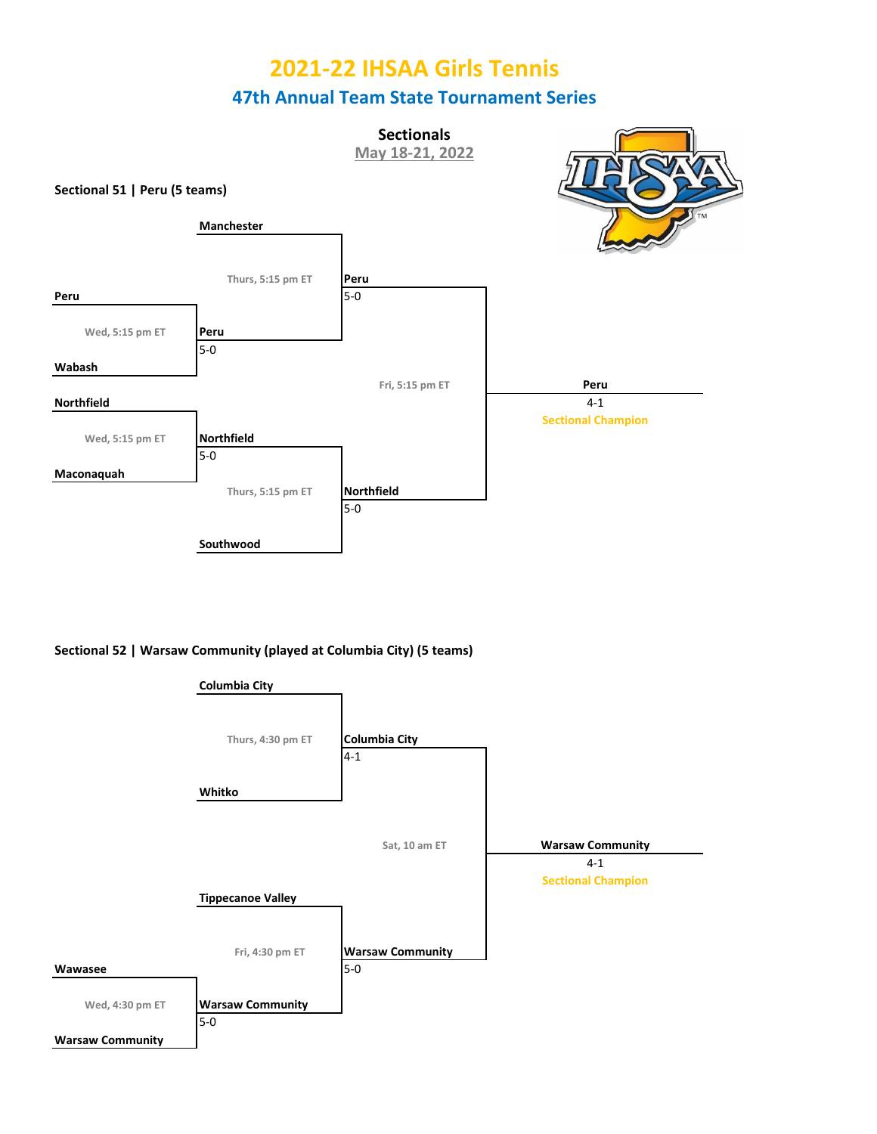

#### **Sectional 52 | Warsaw Community (played at Columbia City) (5 teams)**

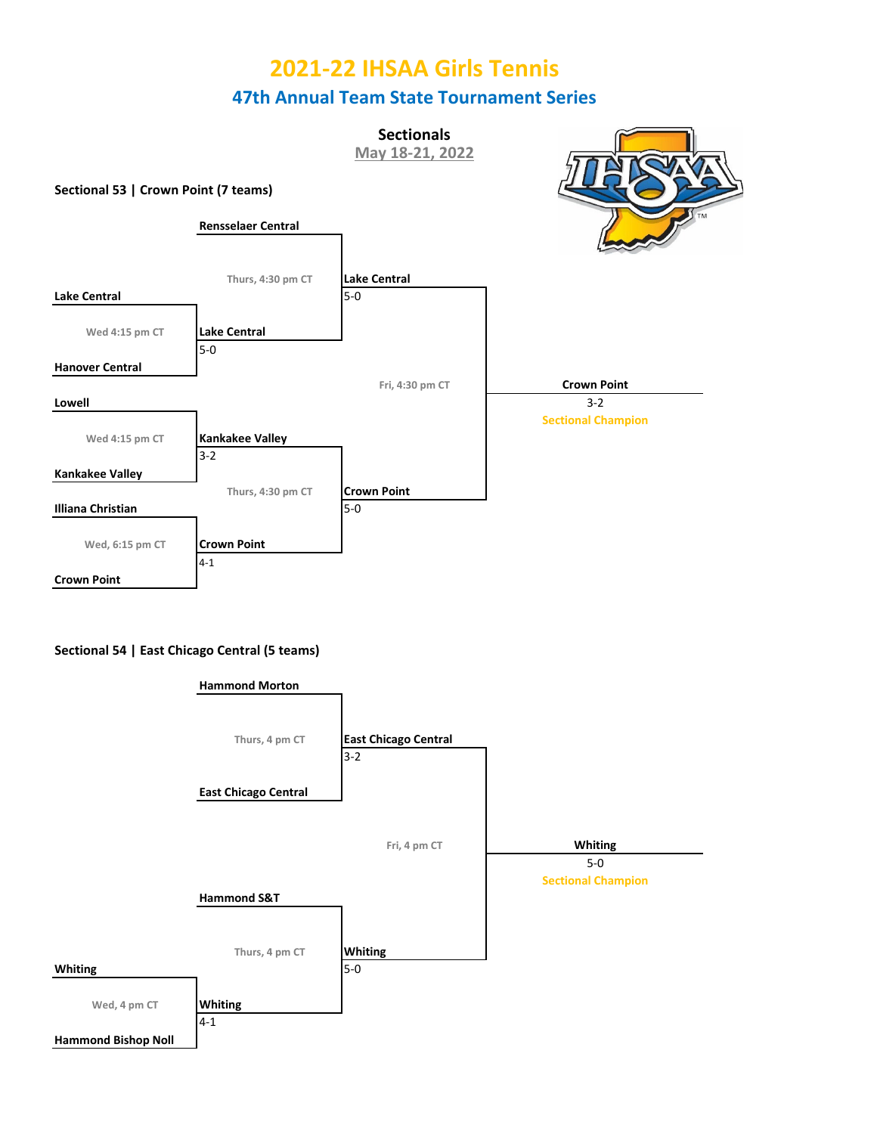

#### **Sectional 54 | East Chicago Central (5 teams)**

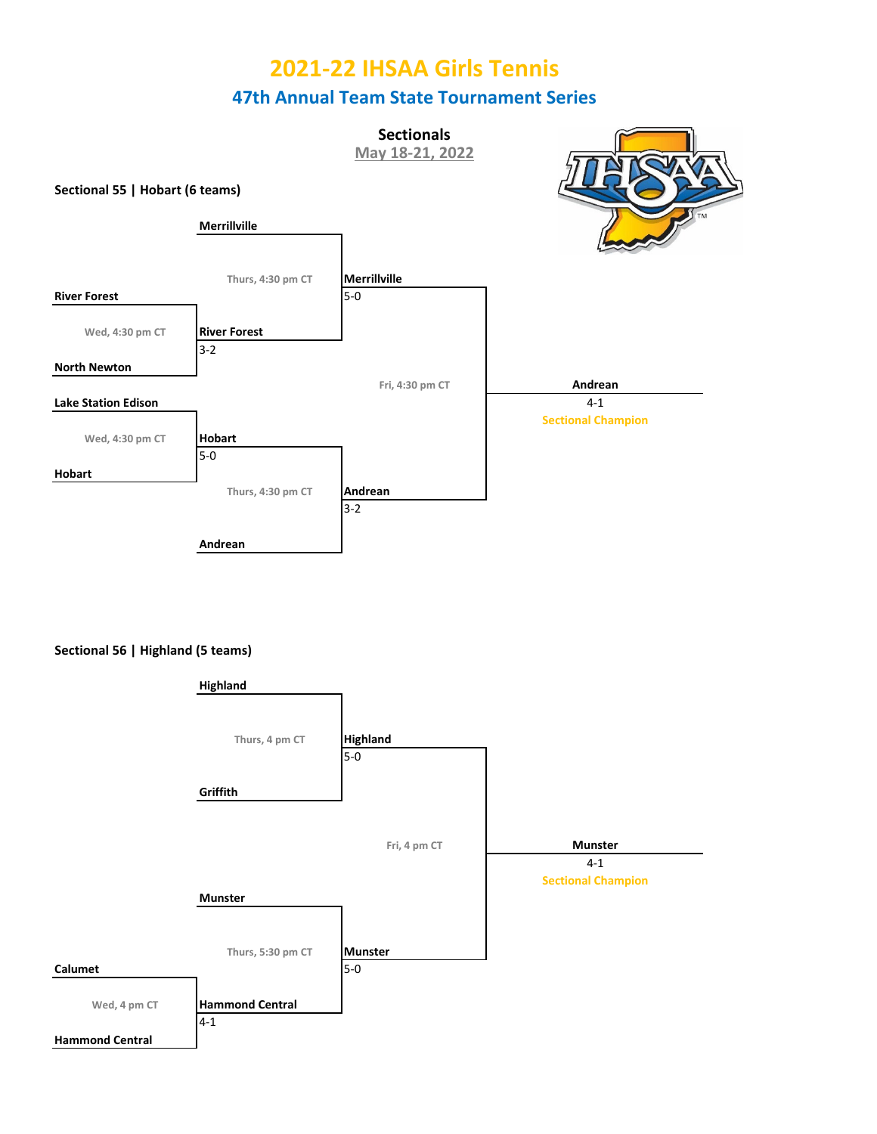

#### **Sectional 56 | Highland (5 teams)**

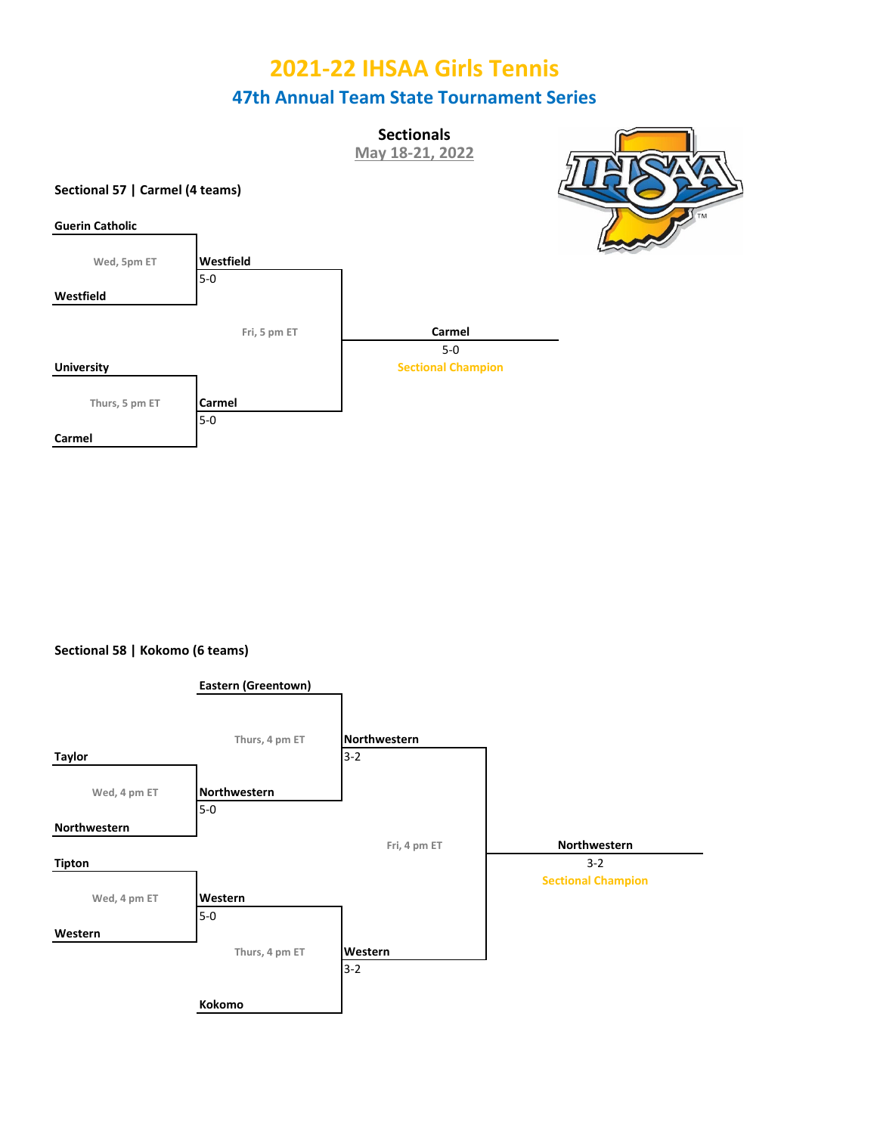**Sectionals May 18-21, 2022**



#### **Sectional 57 | Carmel (4 teams)**



**Sectional 58 | Kokomo (6 teams)**

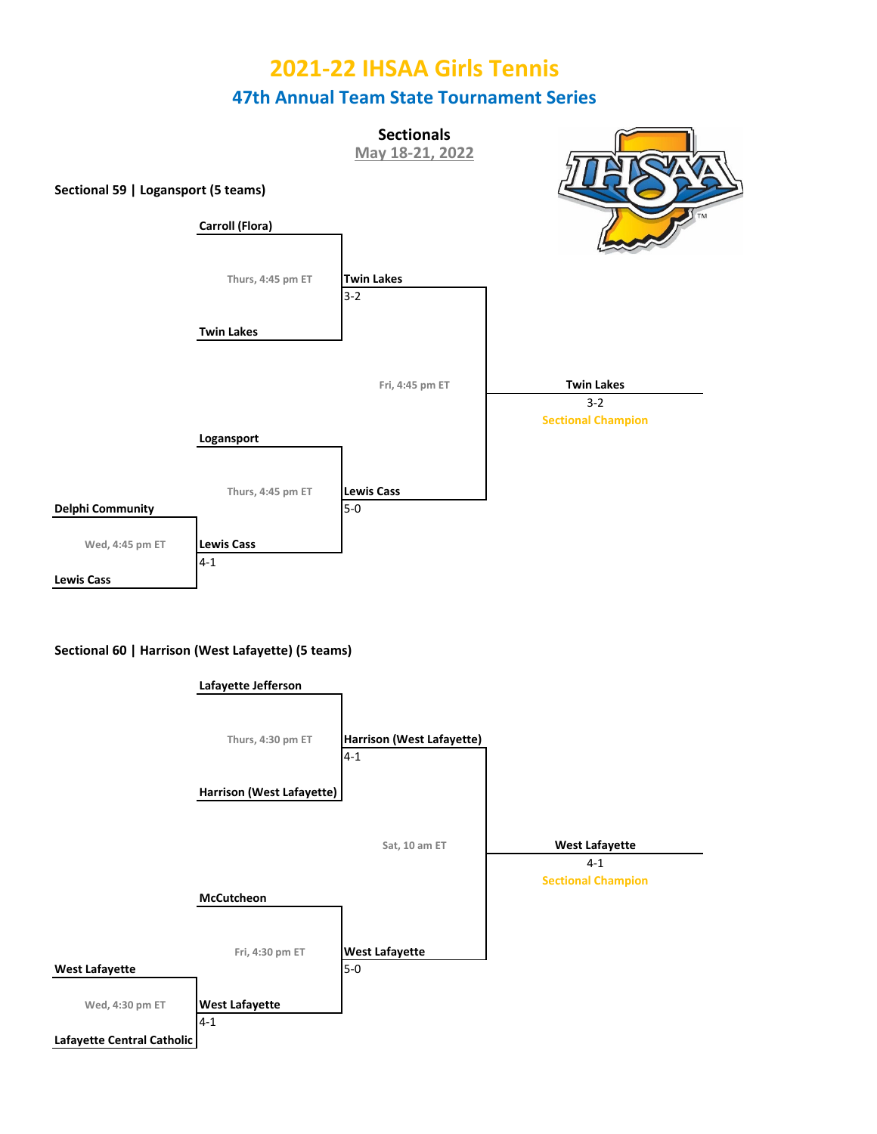

#### **Sectional 60 | Harrison (West Lafayette) (5 teams)**

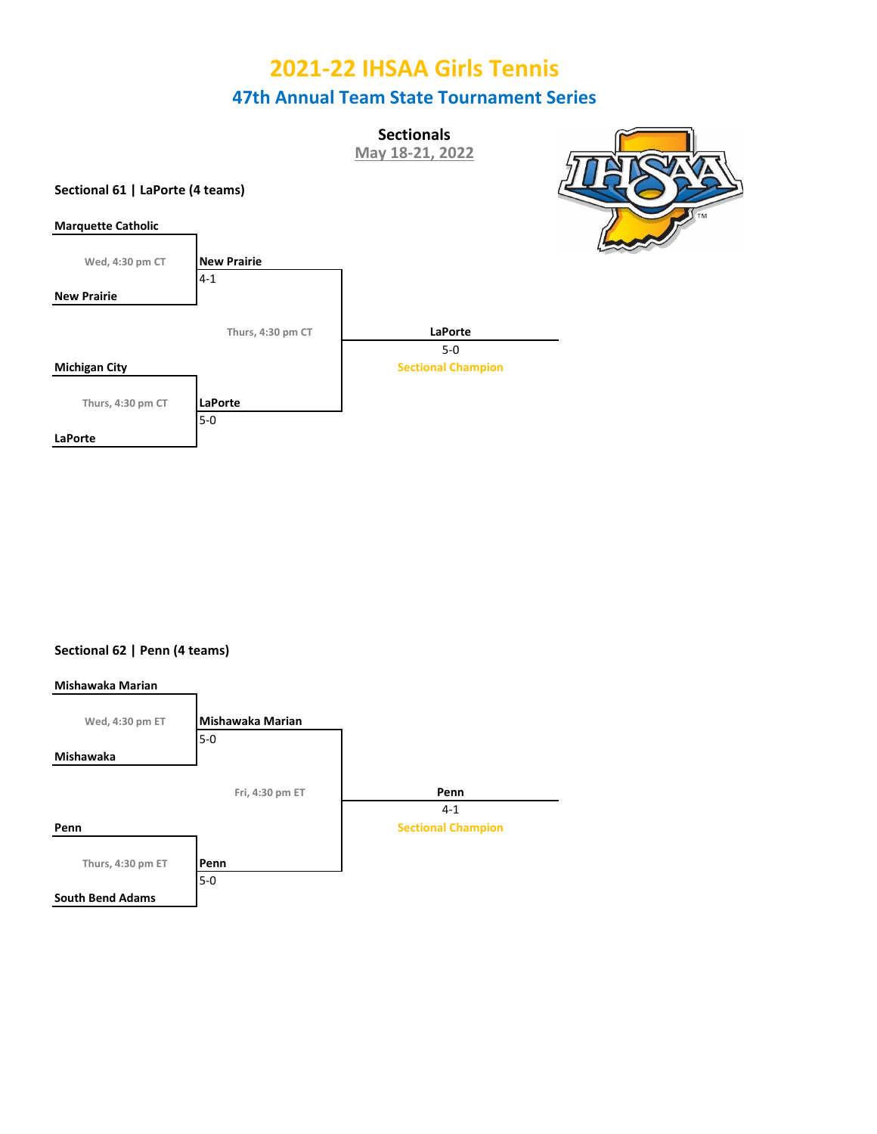**Sectionals May 18-21, 2022**



**Sectional 62 | Penn (4 teams)**